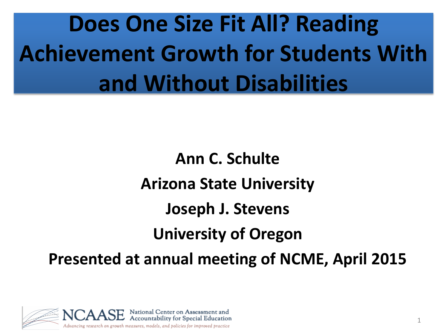# **Does One Size Fit All? Reading Achievement Growth for Students With and Without Disabilities**

**Ann C. Schulte Arizona State University Joseph J. Stevens University of Oregon Presented at annual meeting of NCME, April 2015**

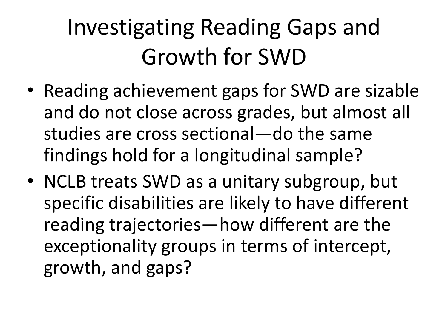# Investigating Reading Gaps and Growth for SWD

- Reading achievement gaps for SWD are sizable and do not close across grades, but almost all studies are cross sectional—do the same findings hold for a longitudinal sample?
- NCLB treats SWD as a unitary subgroup, but specific disabilities are likely to have different reading trajectories—how different are the exceptionality groups in terms of intercept, growth, and gaps?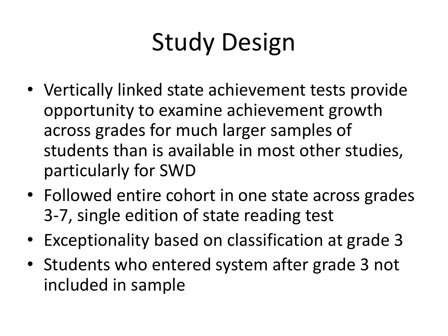# Study Design

- Vertically linked state achievement tests provide opportunity to examine achievement growth across grades for much larger samples of students than is available in most other studies, particularly for SWD
- Followed entire cohort in one state across grades 3-7, single edition of state reading test
- Exceptionality based on classification at grade 3
- Students who entered system after grade 3 not included in sample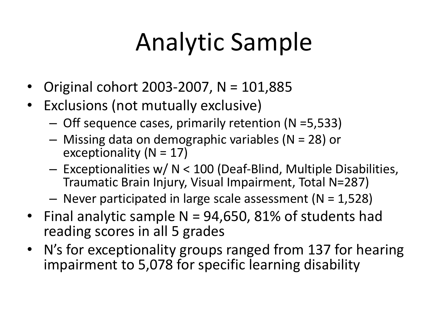# Analytic Sample

- Original cohort 2003-2007, N = 101,885
- Exclusions (not mutually exclusive)
	- Off sequence cases, primarily retention (N =5,533)
	- Missing data on demographic variables (N = 28) or exceptionality ( $N = 17$ )
	- Exceptionalities w/ N < 100 (Deaf-Blind, Multiple Disabilities, Traumatic Brain Injury, Visual Impairment, Total N=287)
	- $-$  Never participated in large scale assessment (N = 1,528)
- Final analytic sample N = 94,650, 81% of students had reading scores in all 5 grades
- N's for exceptionality groups ranged from 137 for hearing impairment to 5,078 for specific learning disability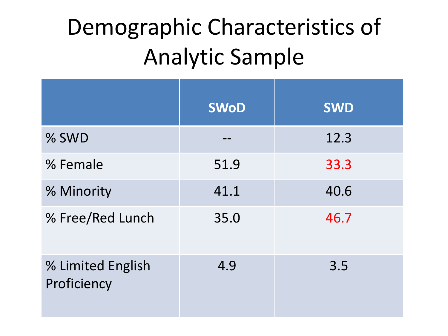# Demographic Characteristics of Analytic Sample

|                                  | <b>SWoD</b> | <b>SWD</b> |
|----------------------------------|-------------|------------|
| % SWD                            |             | 12.3       |
| % Female                         | 51.9        | 33.3       |
| % Minority                       | 41.1        | 40.6       |
| % Free/Red Lunch                 | 35.0        | 46.7       |
| % Limited English<br>Proficiency | 4.9         | 3.5        |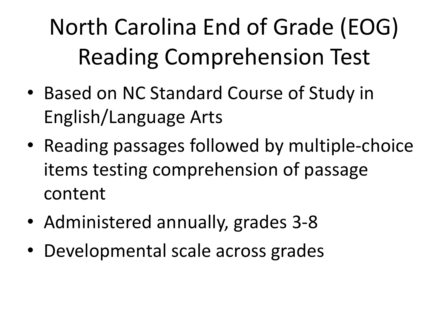# North Carolina End of Grade (EOG) Reading Comprehension Test

- Based on NC Standard Course of Study in English/Language Arts
- Reading passages followed by multiple-choice items testing comprehension of passage content
- Administered annually, grades 3-8
- Developmental scale across grades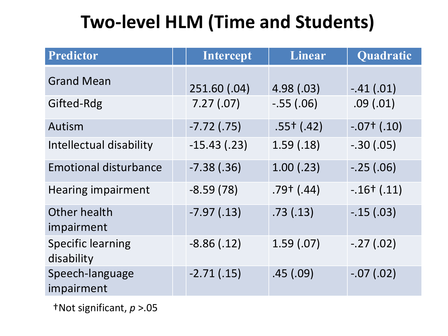### **Two-level HLM (Time and Students)**

| <b>Predictor</b>                       | <b>Intercept</b> | <b>Linear</b> | Quadratic     |
|----------------------------------------|------------------|---------------|---------------|
| <b>Grand Mean</b>                      | 251.60 (.04)     | 4.98(.03)     | $-.41(.01)$   |
| Gifted-Rdg                             | 7.27(.07)        | $-.55(.06)$   | .09(.01)      |
| Autism                                 | $-7.72$ (.75)    | $.55+$ (.42)  | $-.07+ (.10)$ |
| Intellectual disability                | $-15.43$ (.23)   | 1.59(.18)     | $-.30(.05)$   |
| <b>Emotional disturbance</b>           | $-7.38$ $(.36)$  | 1.00(.23)     | $-.25(.06)$   |
| <b>Hearing impairment</b>              | $-8.59(78)$      | $.79+$ (.44)  | $-.16+ (.11)$ |
| Other health<br>impairment             | $-7.97(0.13)$    | .73(.13)      | $-.15(.03)$   |
| <b>Specific learning</b><br>disability | $-8.86(.12)$     | 1.59(0.07)    | $-.27(.02)$   |
| Speech-language<br>impairment          | $-2.71(0.15)$    | .45(.09)      | $-.07(.02)$   |

†Not significant, *p* >.05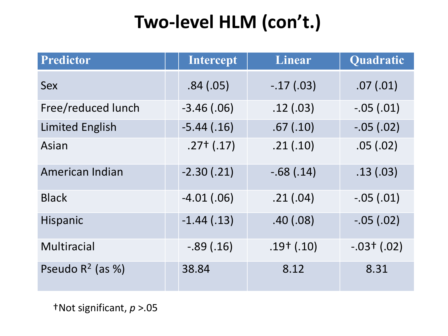#### **Two-level HLM (con't.)**

| <b>Predictor</b>       | <b>Intercept</b> | <b>Linear</b>  | Quadratic     |
|------------------------|------------------|----------------|---------------|
| <b>Sex</b>             | .84(.05)         | $-.17(.03)$    | .07(.01)      |
| Free/reduced lunch     | $-3.46$ (.06)    | .12(.03)       | $-.05(.01)$   |
| <b>Limited English</b> | $-5.44(0.16)$    | .67(.10)       | $-.05(.02)$   |
| Asian                  | $.27+ (.17)$     | .21(.10)       | .05(.02)      |
| American Indian        | $-2.30(0.21)$    | $-.68(.14)$    | .13(.03)      |
| <b>Black</b>           | $-4.01(0.06)$    | .21(.04)       | $-.05(.01)$   |
| Hispanic               | $-1.44(0.13)$    | .40(.08)       | $-.05(.02)$   |
| <b>Multiracial</b>     | $-.89(.16)$      | $.19^{+}(.10)$ | $-.03+ (.02)$ |
| Pseudo $R^2$ (as %)    | 38.84            | 8.12           | 8.31          |

†Not significant, *p* >.05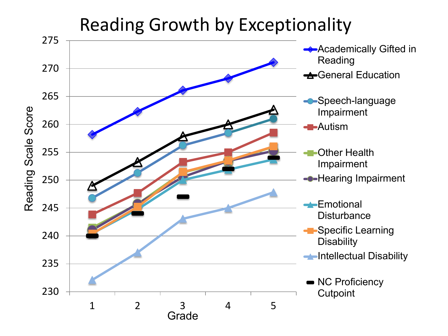#### Reading Growth by Exceptionality

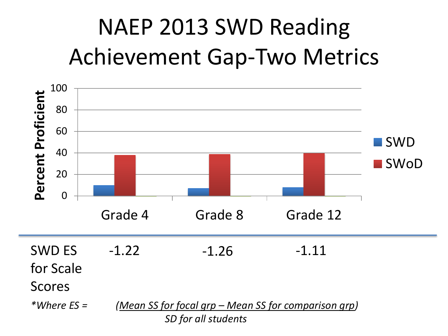# NAEP 2013 SWD Reading Achievement Gap-Two Metrics

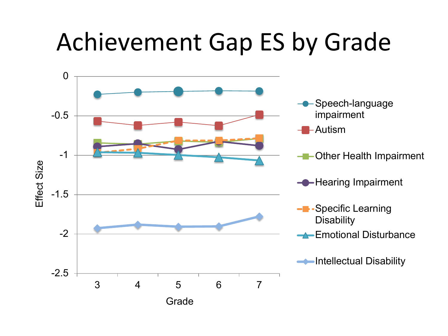### Achievement Gap ES by Grade

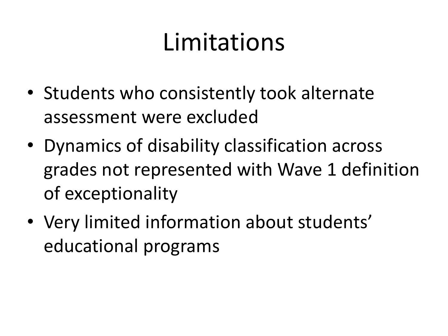# Limitations

- Students who consistently took alternate assessment were excluded
- Dynamics of disability classification across grades not represented with Wave 1 definition of exceptionality
- Very limited information about students' educational programs